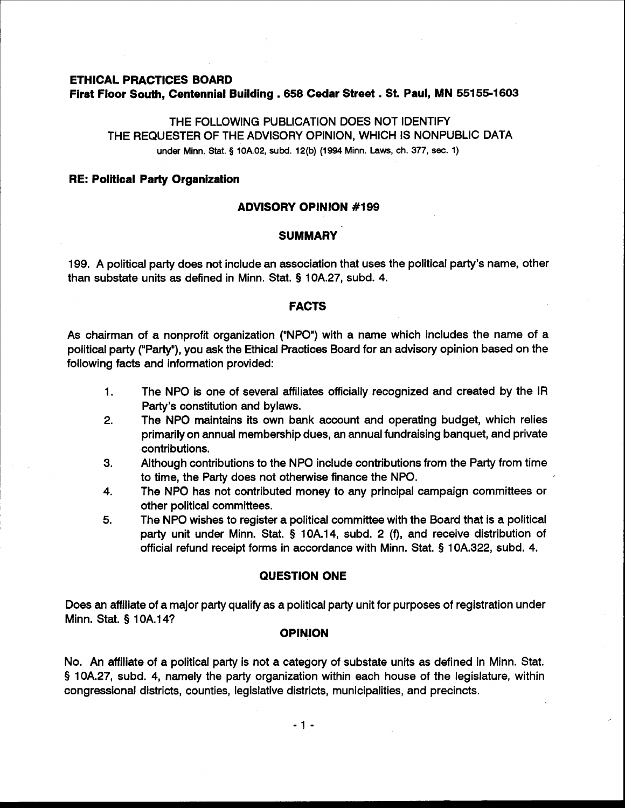# **ETHICAL PRACTICES BOARD First Floor South, Centennial Building** . **<sup>658</sup>Cedar Street** . **St. Paul, MN 551 55-1603**

# THE FOLLOWING PUBLICATION DOES NOT IDENTIFY THE REQUESTER OF THE ADVISORY OPINION, WHICH IS NONPUBLIC DATA **under** Minn. Stat. **9** lOA.02, subd. 12(b) (1994 Minn. Laws, ch. 377, **sec.** 1)

## **RE: Political Party Organization**

## **ADVISORY OPINION #I99**

# **SUMMARY**

199. A political party does not include an association that uses the political party's name, other than substate units as defined in Minn. Stat. **Q** 10A.27, subd. 4.

## **FACTS**

As chairman of a nonprofit organization ("NPO") with a name which includes the name of a political party ("Party"), you ask the Ethical Practices Board for an advisory opinion based on the following facts and information provided:

- 1. The NPO is one of several affiliates officially recognized and created by the IR Party's constitution and bylaws.
- 2. The NPO maintains its own bank account and operating budget, which relies primarily on annual membership dues, an annual fundraising banquet, and private contributions.
- 3. Although contributions to the NPO include contributions from the Party from time to time, the Party does not otherwise finance the NPO.
- 4. The NPO has not contributed money to any principal campaign committees or other political committees.
- **5.** The NPO wishes to register a political committee with the Board that is a political party unit under Minn. Stat. § 10A.14, subd. 2 (f), and receive distribution of official refund receipt forms in accordance with Minn. Stat. **Q** 10A.322, subd. 4.

# **QUESTION ONE**

Does an affiliate of a major party qualify as a political party unit for purposes of registration under Minn. Stat. § 10A.14?

### **OPINION**

No. An affiliate of a political party is not a category of substate units as defined in Minn. Stat. **9** 10A.27, subd. 4, namely the party organization within each house of the legislature, within congressional districts, counties, legislative districts, municipalities, and precincts.

 $-1 -$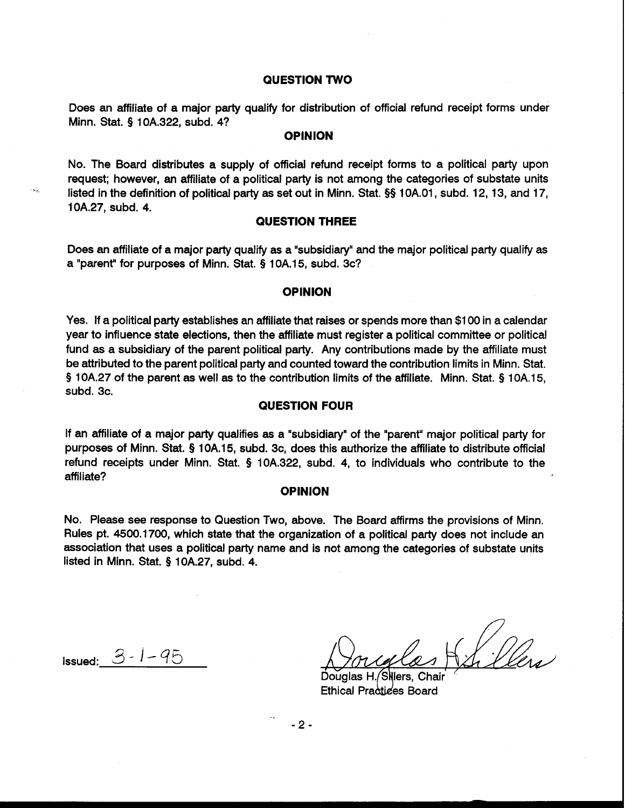### **QUESTION TWO**

Does an affiliate of a major party qualify for distribution of official refund receipt forms under Minn. Stat. **9** 10A.322, subd. **4?** 

## **OPINION**

No. The Board distributes a supply of official refund receipt forms to a political party upon request; however, **an** affiliate of a political party is not among the categories of substate units listed in the definition of political party as set out in Minn. Stat. §§ 1 0A.01, subd. 12, 13, and 17, 1 OA.27, subd. 4.

## **QUESTION THREE**

Does an affiliate of a major party qualify as a "subsidiary" and the major political party qualify as a "parent" for purposes of Minn. Stat. § 10A.15, subd. 3c?

#### **OPINION**

Yes. If a political party establishes an affiliate that raises or spends more than \$1 00 in a calendar year to influence state elections, then the affiliate must register a political committee or political fund as a subsidiary of the parent political party. Any contributions made by the affiliate must be attributed to the parent political party and counted toward the contribution limits in Minn. Stat. § 10A.27 of the parent as well as to the contribution limits of the affiliate. Minn. Stat. § 1 0A.15, subd. 3c.

## **QUESTION FOUR**

If an affiliate of a major party qualifies as a "subsidiary" of the "parent" major political party for purposes of Minn. Stat. § 10A.15, subd. 3c, does this authorize the affiliate to distribute official refund receipts under Minn. Stat. § 10A.322, subd. 4, to individuals who contribute to the affiliate?

#### **OPINION**

No. Please see response to Question Two, above. The Board affirms the provisions of Minn. Rules pt. 4500.1700, which state that the organization of a political party does not include an association that uses a political party name and is not among the categories of substate units listed in Minn. Stat. **9** 10A.27, subd. 4.

Issued: *3-* 1-45

es Kr Iles

Douglas H. Sillers, Chair Ethical Practices Board

 $-2-$